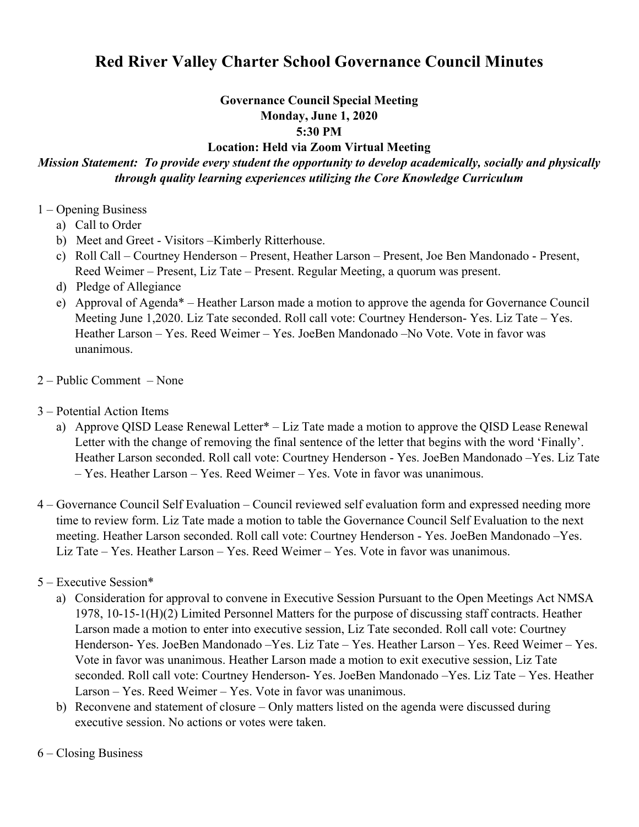# **Red River Valley Charter School Governance Council Minutes**

#### **Governance Council Special Meeting Monday, June 1, 2020**

**5:30 PM** 

### **Location: Held via Zoom Virtual Meeting**

# *Mission Statement: To provide every student the opportunity to develop academically, socially and physically through quality learning experiences utilizing the Core Knowledge Curriculum*

- 1 Opening Business
	- a) Call to Order
	- b) Meet and Greet Visitors –Kimberly Ritterhouse.
	- c) Roll Call Courtney Henderson Present, Heather Larson Present, Joe Ben Mandonado Present, Reed Weimer – Present, Liz Tate – Present. Regular Meeting, a quorum was present.
	- d) Pledge of Allegiance
	- e) Approval of Agenda\* Heather Larson made a motion to approve the agenda for Governance Council Meeting June 1,2020. Liz Tate seconded. Roll call vote: Courtney Henderson- Yes. Liz Tate – Yes. Heather Larson – Yes. Reed Weimer – Yes. JoeBen Mandonado –No Vote. Vote in favor was unanimous.
- 2 Public Comment None
- 3 Potential Action Items
	- a) Approve QISD Lease Renewal Letter\* Liz Tate made a motion to approve the QISD Lease Renewal Letter with the change of removing the final sentence of the letter that begins with the word 'Finally'. Heather Larson seconded. Roll call vote: Courtney Henderson - Yes. JoeBen Mandonado –Yes. Liz Tate – Yes. Heather Larson – Yes. Reed Weimer – Yes. Vote in favor was unanimous.
- 4 Governance Council Self Evaluation Council reviewed self evaluation form and expressed needing more time to review form. Liz Tate made a motion to table the Governance Council Self Evaluation to the next meeting. Heather Larson seconded. Roll call vote: Courtney Henderson - Yes. JoeBen Mandonado –Yes. Liz Tate – Yes. Heather Larson – Yes. Reed Weimer – Yes. Vote in favor was unanimous.
- 5 Executive Session\*
	- a) Consideration for approval to convene in Executive Session Pursuant to the Open Meetings Act NMSA 1978, 10-15-1(H)(2) Limited Personnel Matters for the purpose of discussing staff contracts. Heather Larson made a motion to enter into executive session, Liz Tate seconded. Roll call vote: Courtney Henderson- Yes. JoeBen Mandonado –Yes. Liz Tate – Yes. Heather Larson – Yes. Reed Weimer – Yes. Vote in favor was unanimous. Heather Larson made a motion to exit executive session, Liz Tate seconded. Roll call vote: Courtney Henderson- Yes. JoeBen Mandonado –Yes. Liz Tate – Yes. Heather Larson – Yes. Reed Weimer – Yes. Vote in favor was unanimous.
	- b) Reconvene and statement of closure Only matters listed on the agenda were discussed during executive session. No actions or votes were taken.

## 6 – Closing Business